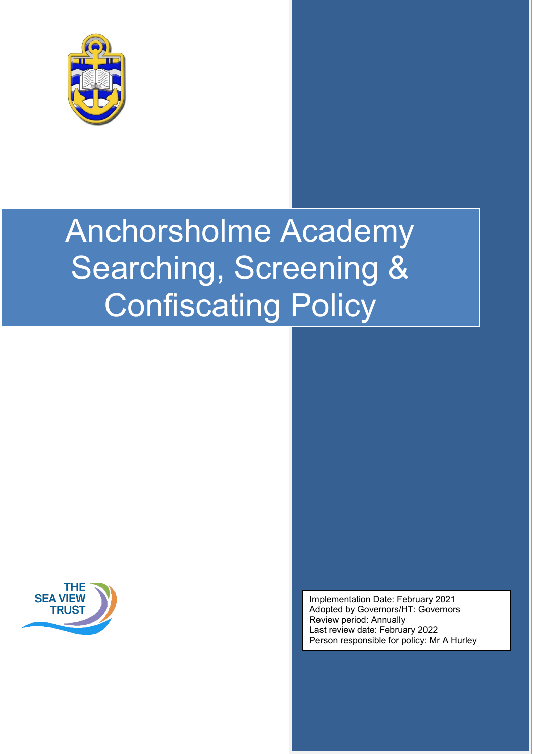

# Anchorsholme Academy Searching, Screening & Confiscating Policy



Implementation Date: February 2021 Adopted by Governors/HT: Governors Review period: Annually Last review date: February 2022 Person responsible for policy: Mr A Hurley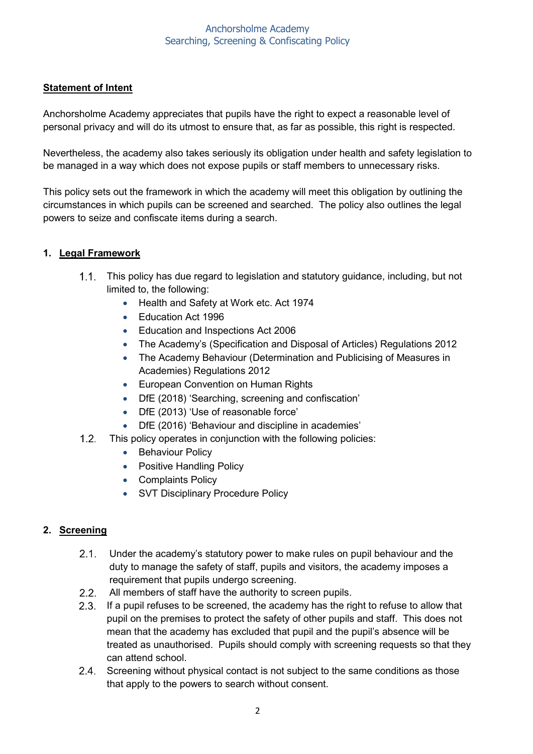#### Anchorsholme Academy Searching, Screening & Confiscating Policy

## **Statement of Intent**

Anchorsholme Academy appreciates that pupils have the right to expect a reasonable level of personal privacy and will do its utmost to ensure that, as far as possible, this right is respected.

Nevertheless, the academy also takes seriously its obligation under health and safety legislation to be managed in a way which does not expose pupils or staff members to unnecessary risks.

This policy sets out the framework in which the academy will meet this obligation by outlining the circumstances in which pupils can be screened and searched. The policy also outlines the legal powers to seize and confiscate items during a search.

## **1. Legal Framework**

- 1.1. This policy has due regard to legislation and statutory guidance, including, but not limited to, the following:
	- Health and Safety at Work etc. Act 1974
	- Education Act 1996
	- Education and Inspections Act 2006
	- The Academy's (Specification and Disposal of Articles) Regulations 2012
	- The Academy Behaviour (Determination and Publicising of Measures in Academies) Regulations 2012
	- European Convention on Human Rights
	- DfE (2018) 'Searching, screening and confiscation'
	- DfE (2013) 'Use of reasonable force'
	- DfE (2016) 'Behaviour and discipline in academies'
- $1.2$ This policy operates in conjunction with the following policies:
	- Behaviour Policy
	- Positive Handling Policy
	- Complaints Policy
	- SVT Disciplinary Procedure Policy

## **2. Screening**

- $2.1.$ Under the academy's statutory power to make rules on pupil behaviour and the duty to manage the safety of staff, pupils and visitors, the academy imposes a requirement that pupils undergo screening.
- 2.2. All members of staff have the authority to screen pupils.
- 2.3. If a pupil refuses to be screened, the academy has the right to refuse to allow that pupil on the premises to protect the safety of other pupils and staff. This does not mean that the academy has excluded that pupil and the pupil's absence will be treated as unauthorised. Pupils should comply with screening requests so that they can attend school.
- 2.4. Screening without physical contact is not subject to the same conditions as those that apply to the powers to search without consent.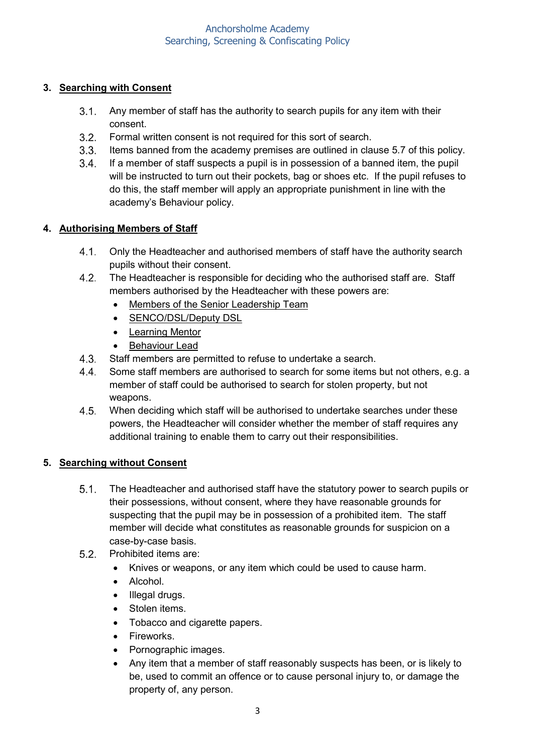# **3. Searching with Consent**

- $3.1.$ Any member of staff has the authority to search pupils for any item with their consent.
- $3.2.$ Formal written consent is not required for this sort of search.
- 3.3. Items banned from the academy premises are outlined in clause 5.7 of this policy.
- If a member of staff suspects a pupil is in possession of a banned item, the pupil will be instructed to turn out their pockets, bag or shoes etc. If the pupil refuses to do this, the staff member will apply an appropriate punishment in line with the academy's Behaviour policy.

# **4. Authorising Members of Staff**

- Only the Headteacher and authorised members of staff have the authority search pupils without their consent.
- $4.2.$ The Headteacher is responsible for deciding who the authorised staff are. Staff members authorised by the Headteacher with these powers are:
	- Members of the Senior Leadership Team
	- SENCO/DSL/Deputy DSL
	- Learning Mentor
	- Behaviour Lead
- $4.3.$ Staff members are permitted to refuse to undertake a search.
- $4.4.$ Some staff members are authorised to search for some items but not others, e.g. a member of staff could be authorised to search for stolen property, but not weapons.
- $4.5.$ When deciding which staff will be authorised to undertake searches under these powers, the Headteacher will consider whether the member of staff requires any additional training to enable them to carry out their responsibilities.

# **5. Searching without Consent**

- $5.1$ The Headteacher and authorised staff have the statutory power to search pupils or their possessions, without consent, where they have reasonable grounds for suspecting that the pupil may be in possession of a prohibited item. The staff member will decide what constitutes as reasonable grounds for suspicion on a case-by-case basis.
- $5.2.$ Prohibited items are:
	- Knives or weapons, or any item which could be used to cause harm.
	- Alcohol.
	- Illegal drugs.
	- Stolen items.
	- Tobacco and cigarette papers.
	- Fireworks.
	- Pornographic images.
	- Any item that a member of staff reasonably suspects has been, or is likely to be, used to commit an offence or to cause personal injury to, or damage the property of, any person.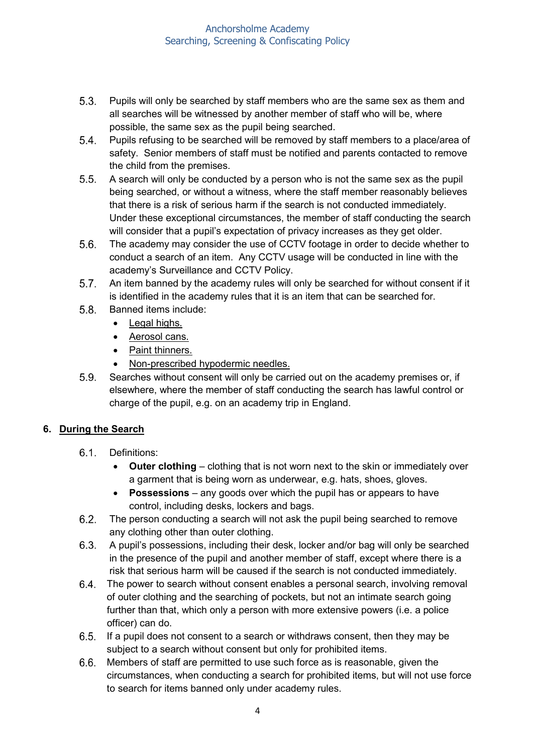- $5.3.$ Pupils will only be searched by staff members who are the same sex as them and all searches will be witnessed by another member of staff who will be, where possible, the same sex as the pupil being searched.
- $5.4.$ Pupils refusing to be searched will be removed by staff members to a place/area of safety. Senior members of staff must be notified and parents contacted to remove the child from the premises.
- $5.5.$ A search will only be conducted by a person who is not the same sex as the pupil being searched, or without a witness, where the staff member reasonably believes that there is a risk of serious harm if the search is not conducted immediately. Under these exceptional circumstances, the member of staff conducting the search will consider that a pupil's expectation of privacy increases as they get older.
- $5.6.$ The academy may consider the use of CCTV footage in order to decide whether to conduct a search of an item. Any CCTV usage will be conducted in line with the academy's Surveillance and CCTV Policy.
- $5.7.$ An item banned by the academy rules will only be searched for without consent if it is identified in the academy rules that it is an item that can be searched for.
- $5.8.$ Banned items include:
	- Legal highs.
	- Aerosol cans.
	- Paint thinners.
	- Non-prescribed hypodermic needles.
- $5.9.$ Searches without consent will only be carried out on the academy premises or, if elsewhere, where the member of staff conducting the search has lawful control or charge of the pupil, e.g. on an academy trip in England.

## **6. During the Search**

- $6.1$ Definitions:
	- **Outer clothing** clothing that is not worn next to the skin or immediately over a garment that is being worn as underwear, e.g. hats, shoes, gloves.
	- **Possessions**  any goods over which the pupil has or appears to have control, including desks, lockers and bags.
- The person conducting a search will not ask the pupil being searched to remove  $6.2.$ any clothing other than outer clothing.
- $6.3.$ A pupil's possessions, including their desk, locker and/or bag will only be searched in the presence of the pupil and another member of staff, except where there is a risk that serious harm will be caused if the search is not conducted immediately.
- The power to search without consent enables a personal search, involving removal  $6.4.$ of outer clothing and the searching of pockets, but not an intimate search going further than that, which only a person with more extensive powers (i.e. a police officer) can do.
- If a pupil does not consent to a search or withdraws consent, then they may be subject to a search without consent but only for prohibited items.
- Members of staff are permitted to use such force as is reasonable, given the  $6.6.$ circumstances, when conducting a search for prohibited items, but will not use force to search for items banned only under academy rules.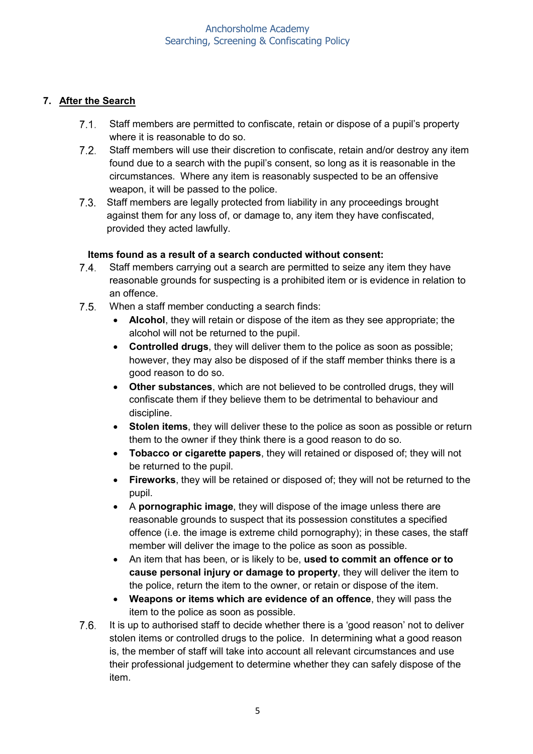## **7. After the Search**

- $7.1.$ Staff members are permitted to confiscate, retain or dispose of a pupil's property where it is reasonable to do so.
- $7.2.$ Staff members will use their discretion to confiscate, retain and/or destroy any item found due to a search with the pupil's consent, so long as it is reasonable in the circumstances. Where any item is reasonably suspected to be an offensive weapon, it will be passed to the police.
- $7.3.$ Staff members are legally protected from liability in any proceedings brought against them for any loss of, or damage to, any item they have confiscated, provided they acted lawfully.

## **Items found as a result of a search conducted without consent:**

- $7.4.$ Staff members carrying out a search are permitted to seize any item they have reasonable grounds for suspecting is a prohibited item or is evidence in relation to an offence.
- $7.5.$ When a staff member conducting a search finds:
	- **Alcohol**, they will retain or dispose of the item as they see appropriate; the alcohol will not be returned to the pupil.
	- **Controlled drugs**, they will deliver them to the police as soon as possible; however, they may also be disposed of if the staff member thinks there is a good reason to do so.
	- **Other substances**, which are not believed to be controlled drugs, they will confiscate them if they believe them to be detrimental to behaviour and discipline.
	- **Stolen items**, they will deliver these to the police as soon as possible or return them to the owner if they think there is a good reason to do so.
	- **Tobacco or cigarette papers**, they will retained or disposed of; they will not be returned to the pupil.
	- **Fireworks**, they will be retained or disposed of; they will not be returned to the pupil.
	- A **pornographic image**, they will dispose of the image unless there are reasonable grounds to suspect that its possession constitutes a specified offence (i.e. the image is extreme child pornography); in these cases, the staff member will deliver the image to the police as soon as possible.
	- An item that has been, or is likely to be, **used to commit an offence or to cause personal injury or damage to property**, they will deliver the item to the police, return the item to the owner, or retain or dispose of the item.
	- **Weapons or items which are evidence of an offence**, they will pass the item to the police as soon as possible.
- $7.6.$ It is up to authorised staff to decide whether there is a 'good reason' not to deliver stolen items or controlled drugs to the police. In determining what a good reason is, the member of staff will take into account all relevant circumstances and use their professional judgement to determine whether they can safely dispose of the item.